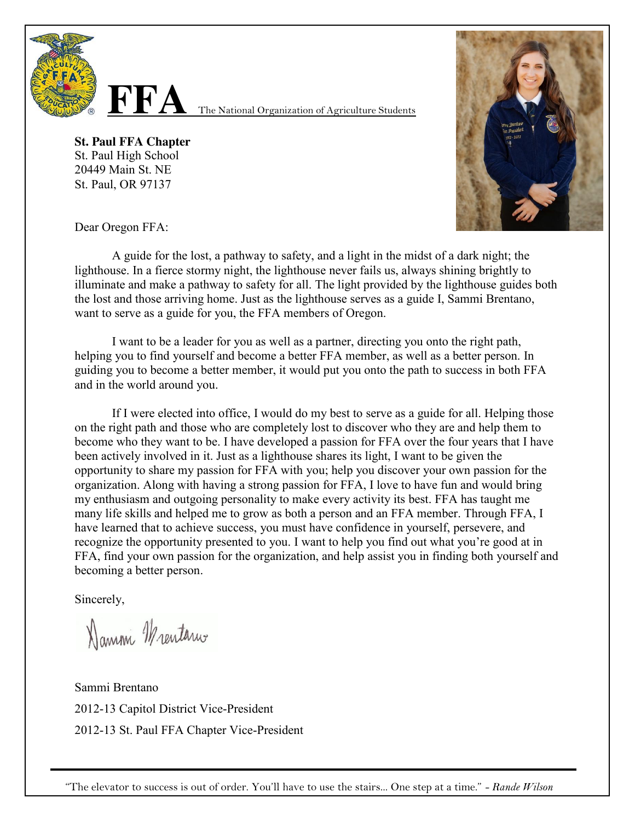

**FFA** The National Organization of Agriculture Students

**St. Paul FFA Chapter** St. Paul High School 20449 Main St. NE St. Paul, OR 97137



Dear Oregon FFA:

A guide for the lost, a pathway to safety, and a light in the midst of a dark night; the lighthouse. In a fierce stormy night, the lighthouse never fails us, always shining brightly to illuminate and make a pathway to safety for all. The light provided by the lighthouse guides both the lost and those arriving home. Just as the lighthouse serves as a guide I, Sammi Brentano, want to serve as a guide for you, the FFA members of Oregon.

I want to be a leader for you as well as a partner, directing you onto the right path, helping you to find yourself and become a better FFA member, as well as a better person. In guiding you to become a better member, it would put you onto the path to success in both FFA and in the world around you.

If I were elected into office, I would do my best to serve as a guide for all. Helping those on the right path and those who are completely lost to discover who they are and help them to become who they want to be. I have developed a passion for FFA over the four years that I have been actively involved in it. Just as a lighthouse shares its light, I want to be given the opportunity to share my passion for FFA with you; help you discover your own passion for the organization. Along with having a strong passion for FFA, I love to have fun and would bring my enthusiasm and outgoing personality to make every activity its best. FFA has taught me many life skills and helped me to grow as both a person and an FFA member. Through FFA, I have learned that to achieve success, you must have confidence in yourself, persevere, and recognize the opportunity presented to you. I want to help you find out what you're good at in FFA, find your own passion for the organization, and help assist you in finding both yourself and becoming a better person.

Sincerely,

Namm Mentarus

Sammi Brentano 2012-13 Capitol District Vice-President 2012-13 St. Paul FFA Chapter Vice-President